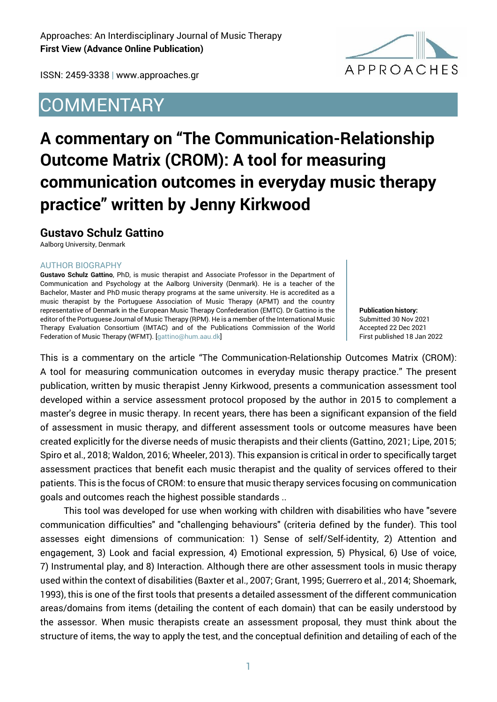

ISSN: 2459-3338 | www.approaches.gr

## **COMMENTARY**

# **A commentary on "The Communication-Relationship Outcome Matrix (CROM): A tool for measuring communication outcomes in everyday music therapy practice" written by Jenny Kirkwood**

### **Gustavo Schulz Gattino**

Aalborg University, Denmark

#### AUTHOR BIOGRAPHY

**Gustavo Schulz Gattino**, PhD, is music therapist and Associate Professor in the Department of Communication and Psychology at the Aalborg University (Denmark). He is a teacher of the Bachelor, Master and PhD music therapy programs at the same university. He is accredited as a music therapist by the Portuguese Association of Music Therapy (APMT) and the country representative of Denmark in the European Music Therapy Confederation (EMTC). Dr Gattino is the editor of the Portuguese Journal of Music Therapy (RPM). He is a member of the International Music Therapy Evaluation Consortium (IMTAC) and of the Publications Commission of the World Federation of Music Therapy (WFMT). [gattino@hum.aau.dk]

**Publication history:**  Submitted 30 Nov 2021 Accepted 22 Dec 2021 First published 18 Jan 2022

This is a commentary on the article "The Communication-Relationship Outcomes Matrix (CROM): A tool for measuring communication outcomes in everyday music therapy practice." The present publication, written by music therapist Jenny Kirkwood, presents a communication assessment tool developed within a service assessment protocol proposed by the author in 2015 to complement a master's degree in music therapy. In recent years, there has been a significant expansion of the field of assessment in music therapy, and different assessment tools or outcome measures have been created explicitly for the diverse needs of music therapists and their clients (Gattino, 2021; Lipe, 2015; Spiro et al., 2018; Waldon, 2016; Wheeler, 2013). This expansion is critical in order to specifically target assessment practices that benefit each music therapist and the quality of services offered to their patients. This is the focus of CROM: to ensure that music therapy services focusing on communication goals and outcomes reach the highest possible standards ..

This tool was developed for use when working with children with disabilities who have "severe communication difficulties" and "challenging behaviours" (criteria defined by the funder). This tool assesses eight dimensions of communication: 1) Sense of self/Self-identity, 2) Attention and engagement, 3) Look and facial expression, 4) Emotional expression, 5) Physical, 6) Use of voice, 7) Instrumental play, and 8) Interaction. Although there are other assessment tools in music therapy used within the context of disabilities (Baxter et al., 2007; Grant, 1995; Guerrero et al., 2014; Shoemark, 1993), this is one of the first tools that presents a detailed assessment of the different communication areas/domains from items (detailing the content of each domain) that can be easily understood by the assessor. When music therapists create an assessment proposal, they must think about the structure of items, the way to apply the test, and the conceptual definition and detailing of each of the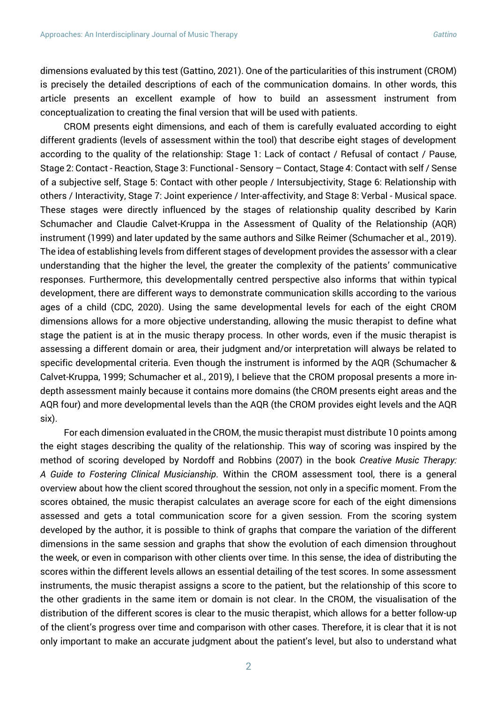dimensions evaluated by this test (Gattino, 2021). One of the particularities of this instrument (CROM) is precisely the detailed descriptions of each of the communication domains. In other words, this article presents an excellent example of how to build an assessment instrument from conceptualization to creating the final version that will be used with patients.

CROM presents eight dimensions, and each of them is carefully evaluated according to eight different gradients (levels of assessment within the tool) that describe eight stages of development according to the quality of the relationship: Stage 1: Lack of contact / Refusal of contact / Pause, Stage 2: Contact - Reaction, Stage 3: Functional - Sensory – Contact, Stage 4: Contact with self / Sense of a subjective self, Stage 5: Contact with other people / Intersubjectivity, Stage 6: Relationship with others / Interactivity, Stage 7: Joint experience / Inter-affectivity, and Stage 8: Verbal - Musical space. These stages were directly influenced by the stages of relationship quality described by Karin Schumacher and Claudie Calvet-Kruppa in the Assessment of Quality of the Relationship (AQR) instrument (1999) and later updated by the same authors and Silke Reimer (Schumacher et al., 2019). The idea of establishing levels from different stages of development provides the assessor with a clear understanding that the higher the level, the greater the complexity of the patients' communicative responses. Furthermore, this developmentally centred perspective also informs that within typical development, there are different ways to demonstrate communication skills according to the various ages of a child (CDC, 2020). Using the same developmental levels for each of the eight CROM dimensions allows for a more objective understanding, allowing the music therapist to define what stage the patient is at in the music therapy process. In other words, even if the music therapist is assessing a different domain or area, their judgment and/or interpretation will always be related to specific developmental criteria. Even though the instrument is informed by the AQR (Schumacher & Calvet-Kruppa, 1999; Schumacher et al., 2019), I believe that the CROM proposal presents a more indepth assessment mainly because it contains more domains (the CROM presents eight areas and the AQR four) and more developmental levels than the AQR (the CROM provides eight levels and the AQR six).

For each dimension evaluated in the CROM, the music therapist must distribute 10 points among the eight stages describing the quality of the relationship. This way of scoring was inspired by the method of scoring developed by Nordoff and Robbins (2007) in the book *Creative Music Therapy: A Guide to Fostering Clinical Musicianship*. Within the CROM assessment tool, there is a general overview about how the client scored throughout the session, not only in a specific moment. From the scores obtained, the music therapist calculates an average score for each of the eight dimensions assessed and gets a total communication score for a given session. From the scoring system developed by the author, it is possible to think of graphs that compare the variation of the different dimensions in the same session and graphs that show the evolution of each dimension throughout the week, or even in comparison with other clients over time. In this sense, the idea of distributing the scores within the different levels allows an essential detailing of the test scores. In some assessment instruments, the music therapist assigns a score to the patient, but the relationship of this score to the other gradients in the same item or domain is not clear. In the CROM, the visualisation of the distribution of the different scores is clear to the music therapist, which allows for a better follow-up of the client's progress over time and comparison with other cases. Therefore, it is clear that it is not only important to make an accurate judgment about the patient's level, but also to understand what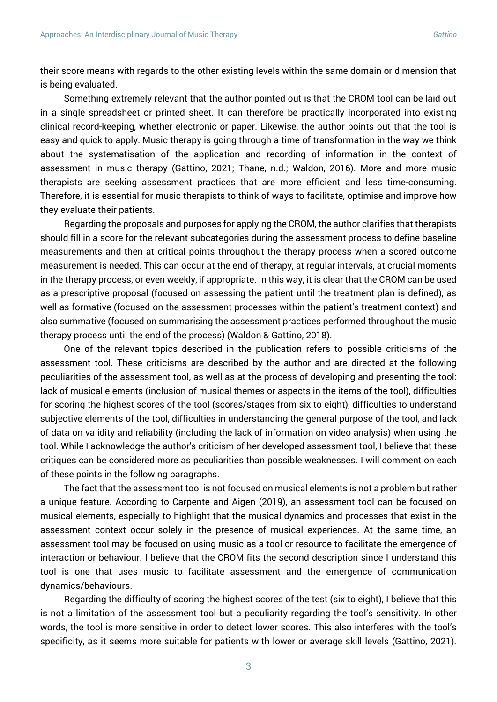their score means with regards to the other existing levels within the same domain or dimension that is being evaluated.

Something extremely relevant that the author pointed out is that the CROM tool can be laid out in a single spreadsheet or printed sheet. It can therefore be practically incorporated into existing clinical record-keeping, whether electronic or paper. Likewise, the author points out that the tool is easy and quick to apply. Music therapy is going through a time of transformation in the way we think about the systematisation of the application and recording of information in the context of assessment in music therapy (Gattino, 2021; Thane, n.d.; Waldon, 2016). More and more music therapists are seeking assessment practices that are more efficient and less time-consuming. Therefore, it is essential for music therapists to think of ways to facilitate, optimise and improve how they evaluate their patients.

Regarding the proposals and purposes for applying the CROM, the author clarifies that therapists should fill in a score for the relevant subcategories during the assessment process to define baseline measurements and then at critical points throughout the therapy process when a scored outcome measurement is needed. This can occur at the end of therapy, at regular intervals, at crucial moments in the therapy process, or even weekly, if appropriate. In this way, it is clear that the CROM can be used as a prescriptive proposal (focused on assessing the patient until the treatment plan is defined), as well as formative (focused on the assessment processes within the patient's treatment context) and also summative (focused on summarising the assessment practices performed throughout the music therapy process until the end of the process) (Waldon & Gattino, 2018).

One of the relevant topics described in the publication refers to possible criticisms of the assessment tool. These criticisms are described by the author and are directed at the following peculiarities of the assessment tool, as well as at the process of developing and presenting the tool: lack of musical elements (inclusion of musical themes or aspects in the items of the tool), difficulties for scoring the highest scores of the tool (scores/stages from six to eight), difficulties to understand subjective elements of the tool, difficulties in understanding the general purpose of the tool, and lack of data on validity and reliability (including the lack of information on video analysis) when using the tool. While I acknowledge the author's criticism of her developed assessment tool, I believe that these critiques can be considered more as peculiarities than possible weaknesses. I will comment on each of these points in the following paragraphs.

The fact that the assessment tool is not focused on musical elements is not a problem but rather a unique feature. According to Carpente and Aigen (2019), an assessment tool can be focused on musical elements, especially to highlight that the musical dynamics and processes that exist in the assessment context occur solely in the presence of musical experiences. At the same time, an assessment tool may be focused on using music as a tool or resource to facilitate the emergence of interaction or behaviour. I believe that the CROM fits the second description since I understand this tool is one that uses music to facilitate assessment and the emergence of communication dynamics/behaviours.

Regarding the difficulty of scoring the highest scores of the test (six to eight), I believe that this is not a limitation of the assessment tool but a peculiarity regarding the tool's sensitivity. In other words, the tool is more sensitive in order to detect lower scores. This also interferes with the tool's specificity, as it seems more suitable for patients with lower or average skill levels (Gattino, 2021).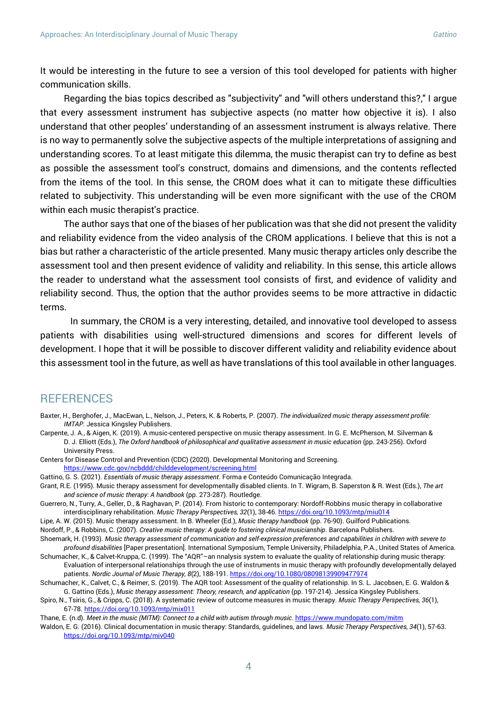It would be interesting in the future to see a version of this tool developed for patients with higher communication skills.

Regarding the bias topics described as "subjectivity" and "will others understand this?," I argue that every assessment instrument has subjective aspects (no matter how objective it is). I also understand that other peoples' understanding of an assessment instrument is always relative. There is no way to permanently solve the subjective aspects of the multiple interpretations of assigning and understanding scores. To at least mitigate this dilemma, the music therapist can try to define as best as possible the assessment tool's construct, domains and dimensions, and the contents reflected from the items of the tool. In this sense, the CROM does what it can to mitigate these difficulties related to subjectivity. This understanding will be even more significant with the use of the CROM within each music therapist's practice.

The author says that one of the biases of her publication was that she did not present the validity and reliability evidence from the video analysis of the CROM applications. I believe that this is not a bias but rather a characteristic of the article presented. Many music therapy articles only describe the assessment tool and then present evidence of validity and reliability. In this sense, this article allows the reader to understand what the assessment tool consists of first, and evidence of validity and reliability second. Thus, the option that the author provides seems to be more attractive in didactic terms.

In summary, the CROM is a very interesting, detailed, and innovative tool developed to assess patients with disabilities using well-structured dimensions and scores for different levels of development. I hope that it will be possible to discover different validity and reliability evidence about this assessment tool in the future, as well as have translations of this tool available in other languages.

### **REFERENCES**

- Baxter, H., Berghofer, J., MacEwan, L., Nelson, J., Peters, K. & Roberts, P. (2007). *The individualized music therapy assessment profile: IMTAP*. Jessica Kingsley Publishers.
- Carpente, J. A., & Aigen, K. (2019). A music-centered perspective on music therapy assessment. In G. E. McPherson, M. Silverman & D. J. Elliott (Eds.), *The Oxford handbook of philosophical and qualitative assessment in music education* (pp. 243-256). Oxford University Press.

Centers for Disease Control and Prevention (CDC) (2020). Developmental Monitoring and Screening.

<https://www.cdc.gov/ncbddd/childdevelopment/screening.html>

Gattino, G. S. (2021). *Essentials of music therapy assessment*. Forma e Conteúdo Comunicação Integrada.

Grant, R.E. (1995). Music therapy assessment for developmentally disabled clients. In T. Wigram, B. Saperston & R. West (Eds.), *The art and science of music therapy: A handbook* (pp. 273-287). Routledge.

Guerrero, N., Turry, A., Geller, D., & Raghavan, P. (2014). From historic to contemporary: Nordoff-Robbins music therapy in collaborative interdisciplinary rehabilitation. *Music Therapy Perspectives, 32*(1), 38-46[. https://doi.org/10.1093/mtp/miu014](https://doi.org/10.1093/mtp/miu014) 

Lipe, A. W. (2015). Music therapy assessment. In B. Wheeler (Ed.), *Music therapy handbook* (pp. 76-90). Guilford Publications.

Nordoff, P., & Robbins, C. (2007). *Creative music therapy: A guide to fostering clinical musicianship*. Barcelona Publishers.

- Shoemark, H. (1993). *Music therapy assessment of communication and self-expression preferences and capabilities in children with severe to profound disabilities* [Paper presentation]. International Symposium, Temple University, Philadelphia, P.A., United States of America.
- Schumacher, K., & Calvet-Kruppa, C. (1999). The "AQR"–an nnalysis system to evaluate the quality of relationship during music therapy: Evaluation of interpersonal relationships through the use of instruments in music therapy with profoundly developmentally delayed patients. *Nordic Journal of Music Therapy, 8*(2), 188-191. <https://doi.org/10.1080/08098139909477974>

Schumacher, K., Calvet, C., & Reimer, S. (2019). The AQR tool: Assessment of the quality of relationship. In S. L. Jacobsen, E. G. Waldon & G. Gattino (Eds.), *Music therapy assessment: Theory, research, and application* (pp. 197-214). Jessica Kingsley Publishers.

Spiro, N., Tsiris, G., & Cripps, C. (2018). A systematic review of outcome measures in music therapy. *Music Therapy Perspectives, 36*(1), 67-78. <https://doi.org/10.1093/mtp/mix011>

Thane, E. (n.d). *Meet in the music (MITM): Connect to a child with autism through music*[. https://www.mundopato.com/mitm](https://www.mundopato.com/mitm)

Waldon, E. G. (2016). Clinical documentation in music therapy: Standards, guidelines, and laws. *Music Therapy Perspectives, 34*(1), 57-63. <https://doi.org/10.1093/mtp/miv040>